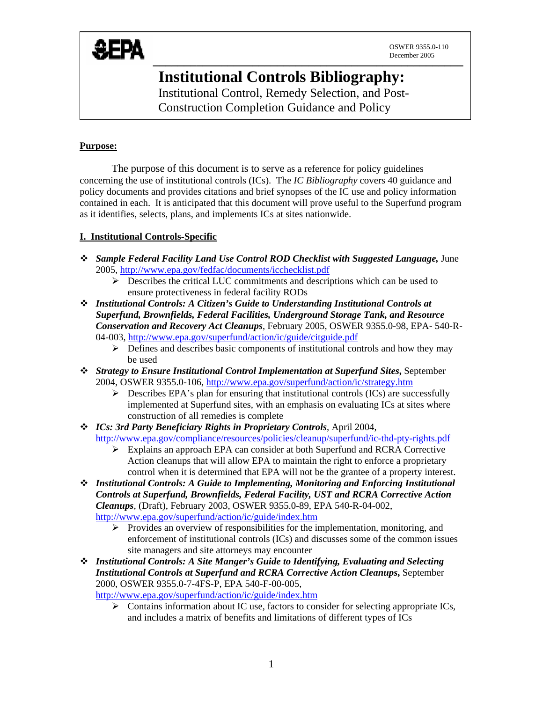

# **Institutional Controls Bibliography:**

Institutional Control, Remedy Selection, and Post-Construction Completion Guidance and Policy

## **Purpose:**

The purpose of this document is to serve as a reference for policy guidelines concerning the use of institutional controls (ICs). The *IC Bibliography* covers 40 guidance and policy documents and provides citations and brief synopses of the IC use and policy information contained in each. It is anticipated that this document will prove useful to the Superfund program as it identifies, selects, plans, and implements ICs at sites nationwide.

# **I. Institutional Controls-Specific**

- *Sample Federal Facility Land Use Control ROD Checklist with Suggested Language,* June 2005,<http://www.epa.gov/fedfac/documents/icchecklist.pdf>
	- $\triangleright$  Describes the critical LUC commitments and descriptions which can be used to ensure protectiveness in federal facility RODs
- *Institutional Controls: A Citizen's Guide to Understanding Institutional Controls at Superfund, Brownfields, Federal Facilities, Underground Storage Tank, and Resource Conservation and Recovery Act Cleanups*, February 2005, OSWER 9355.0-98, EPA- 540-R-04-003, <http://www.epa.gov/superfund/action/ic/guide/citguide.pdf>
	- $\triangleright$  Defines and describes basic components of institutional controls and how they may be used
- *Strategy to Ensure Institutional Control Implementation at Superfund Sites***,** September 2004, OSWER 9355.0-106, <http://www.epa.gov/superfund/action/ic/strategy.htm>
	- $\triangleright$  Describes EPA's plan for ensuring that institutional controls (ICs) are successfully implemented at Superfund sites, with an emphasis on evaluating ICs at sites where construction of all remedies is complete
- *ICs: 3rd Party Beneficiary Rights in Proprietary Controls*, April 2004, <http://www.epa.gov/compliance/resources/policies/cleanup/superfund/ic-thd-pty-rights.pdf>
	- $\triangleright$  Explains an approach EPA can consider at both Superfund and RCRA Corrective Action cleanups that will allow EPA to maintain the right to enforce a proprietary control when it is determined that EPA will not be the grantee of a property interest.
- *Institutional Controls: A Guide to Implementing, Monitoring and Enforcing Institutional Controls at Superfund, Brownfields, Federal Facility, UST and RCRA Corrective Action Cleanups*, (Draft), February 2003, OSWER 9355.0-89, EPA 540-R-04-002, <http://www.epa.gov/superfund/action/ic/guide/index.htm>
	- $\triangleright$  Provides an overview of responsibilities for the implementation, monitoring, and enforcement of institutional controls (ICs) and discusses some of the common issues site managers and site attorneys may encounter
- *Institutional Controls: A Site Manger's Guide to Identifying, Evaluating and Selecting Institutional Controls at Superfund and RCRA Corrective Action Cleanups***,** September 2000, OSWER 9355.0-7-4FS-P, EPA 540-F-00-005,

<http://www.epa.gov/superfund/action/ic/guide/index.htm>

 $\triangleright$  Contains information about IC use, factors to consider for selecting appropriate ICs, and includes a matrix of benefits and limitations of different types of ICs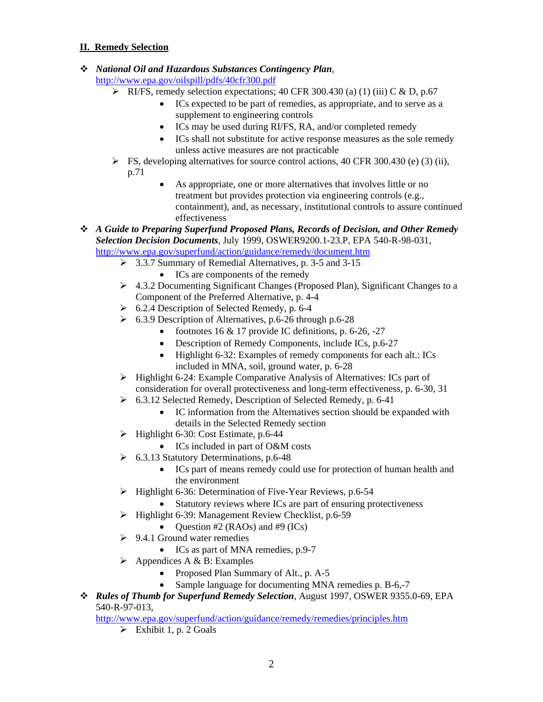## **II. Remedy Selection**

*National Oil and Hazardous Substances Contingency Plan*,

<http://www.epa.gov/oilspill/pdfs/40cfr300.pdf>

- $\triangleright$  RI/FS, remedy selection expectations; 40 CFR 300.430 (a) (1) (iii) C & D, p.67
	- ICs expected to be part of remedies, as appropriate, and to serve as a supplement to engineering controls
	- ICs may be used during RI/FS, RA, and/or completed remedy
	- ICs shall not substitute for active response measures as the sole remedy unless active measures are not practicable
- $\triangleright$  FS, developing alternatives for source control actions, 40 CFR 300.430 (e) (3) (ii), p.71
	- As appropriate, one or more alternatives that involves little or no treatment but provides protection via engineering controls (e.g., containment), and, as necessary, institutional controls to assure continued effectiveness
- *A Guide to Preparing Superfund Proposed Plans, Records of Decision, and Other Remedy Selection Decision Documents*, July 1999, OSWER9200.1-23.P, EPA 540-R-98-031, <http://www.epa.gov/superfund/action/guidance/remedy/document.htm>
	- ¾ 3.3.7 Summary of Remedial Alternatives, p. 3-5 and 3-15
		- ICs are components of the remedy
	- $\triangleright$  4.3.2 Documenting Significant Changes (Proposed Plan), Significant Changes to a Component of the Preferred Alternative, p. 4-4
	- $\geq 6.2.4$  Description of Selected Remedy, p. 6-4
	- $\geq 6.3.9$  Description of Alternatives, p.6-26 through p.6-28
		- footnotes  $16 \& 17$  provide IC definitions, p. 6-26, -27
		- Description of Remedy Components, include ICs, p.6-27
		- Highlight 6-32: Examples of remedy components for each alt.: ICs included in MNA, soil, ground water, p. 6-28
	- $\triangleright$  Highlight 6-24: Example Comparative Analysis of Alternatives: ICs part of consideration for overall protectiveness and long-term effectiveness, p. 6-30, 31
	- ¾ 6.3.12 Selected Remedy, Description of Selected Remedy, p. 6-41
		- IC information from the Alternatives section should be expanded with details in the Selected Remedy section
	- $\blacktriangleright$  Highlight 6-30: Cost Estimate, p.6-44
		- ICs included in part of O&M costs
	- $\geq 6.3.13$  Statutory Determinations, p.6-48
		- ICs part of means remedy could use for protection of human health and the environment
	- ¾ Highlight 6-36: Determination of Five-Year Reviews, p.6-54
		- Statutory reviews where ICs are part of ensuring protectiveness
	- ¾ Highlight 6-39: Management Review Checklist, p.6-59
		- Question  $#2$  (RAOs) and  $#9$  (ICs)
	- $\geq 9.4.1$  Ground water remedies
		- ICs as part of MNA remedies, p.9-7
	- $\triangleright$  Appendices A & B: Examples
		- Proposed Plan Summary of Alt., p. A-5
		- Sample language for documenting MNA remedies p. B-6,-7
- *Rules of Thumb for Superfund Remedy Selection*, August 1997, OSWER 9355.0-69, EPA 540-R-97-013,

<http://www.epa.gov/superfund/action/guidance/remedy/remedies/principles.htm>

 $\triangleright$  Exhibit 1, p. 2 Goals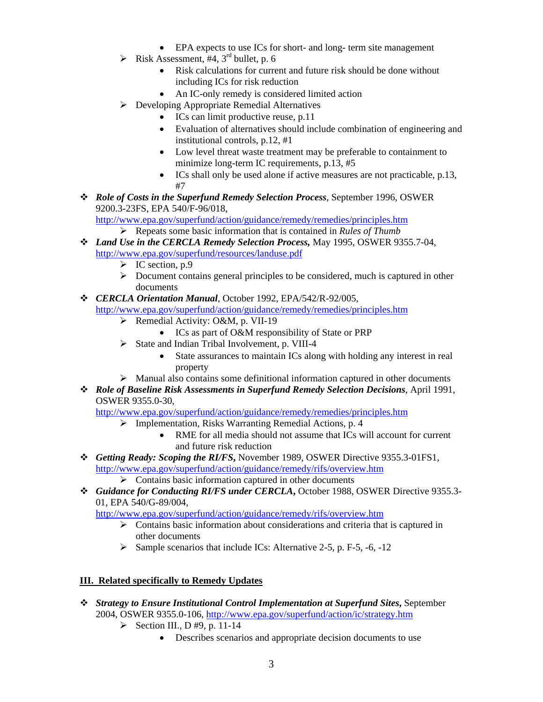- EPA expects to use ICs for short- and long- term site management
- $\triangleright$  Risk Assessment, #4, 3<sup>rd</sup> bullet, p. 6
	- Risk calculations for current and future risk should be done without including ICs for risk reduction
	- An IC-only remedy is considered limited action
- ¾ Developing Appropriate Remedial Alternatives
	- ICs can limit productive reuse, p.11
	- Evaluation of alternatives should include combination of engineering and institutional controls, p.12, #1
	- Low level threat waste treatment may be preferable to containment to minimize long-term IC requirements, p.13, #5
	- ICs shall only be used alone if active measures are not practicable, p.13, #7
- *Role of Costs in the Superfund Remedy Selection Process*, September 1996, OSWER 9200.3-23FS, EPA 540/F-96/018,

<http://www.epa.gov/superfund/action/guidance/remedy/remedies/principles.htm> ¾ Repeats some basic information that is contained in *Rules of Thumb*

- *Land Use in the CERCLA Remedy Selection Process,* May 1995, OSWER 9355.7-04, <http://www.epa.gov/superfund/resources/landuse.pdf>
	- $\triangleright$  IC section, p.9
	- $\triangleright$  Document contains general principles to be considered, much is captured in other documents
- *CERCLA Orientation Manual,* October 1992, EPA/542/R-92/005, <http://www.epa.gov/superfund/action/guidance/remedy/remedies/principles.htm>
	- $\triangleright$  Remedial Activity: O&M, p. VII-19
		- ICs as part of O&M responsibility of State or PRP
	- $\triangleright$  State and Indian Tribal Involvement, p. VIII-4
		- State assurances to maintain ICs along with holding any interest in real property
	- $\triangleright$  Manual also contains some definitional information captured in other documents
- *Role of Baseline Risk Assessments in Superfund Remedy Selection Decisions*, April 1991, OSWER 9355.0-30,

<http://www.epa.gov/superfund/action/guidance/remedy/remedies/principles.htm>

- $\triangleright$  Implementation, Risks Warranting Remedial Actions, p. 4
	- RME for all media should not assume that ICs will account for current and future risk reduction
- *Getting Ready: Scoping the RI/FS***,** November 1989, OSWER Directive 9355.3-01FS1, <http://www.epa.gov/superfund/action/guidance/remedy/rifs/overview.htm>
	- $\triangleright$  Contains basic information captured in other documents
- *Guidance for Conducting RI/FS under CERCLA***,** October 1988, OSWER Directive 9355.3- 01, EPA 540/G-89/004,

<http://www.epa.gov/superfund/action/guidance/remedy/rifs/overview.htm>

- $\triangleright$  Contains basic information about considerations and criteria that is captured in other documents
- $\triangleright$  Sample scenarios that include ICs: Alternative 2-5, p. F-5, -6, -12

#### **III. Related specifically to Remedy Updates**

- *Strategy to Ensure Institutional Control Implementation at Superfund Sites***,** September 2004, OSWER 9355.0-106, <http://www.epa.gov/superfund/action/ic/strategy.htm>
	- $\triangleright$  Section III., D #9, p. 11-14
		- Describes scenarios and appropriate decision documents to use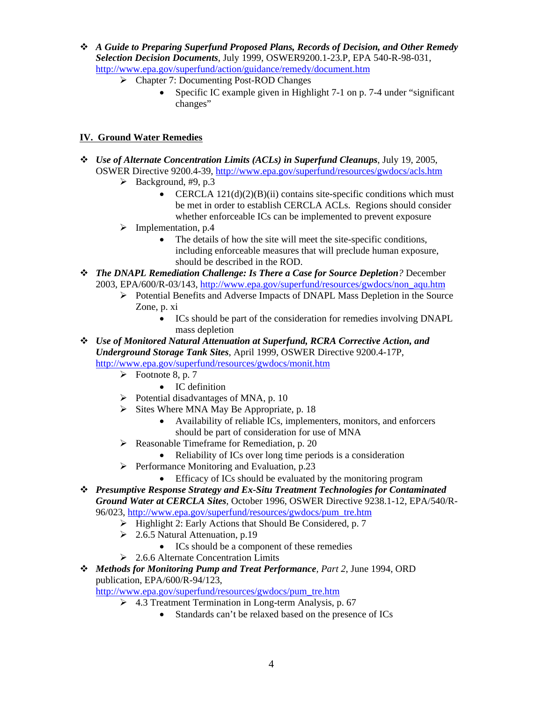- *A Guide to Preparing Superfund Proposed Plans, Records of Decision, and Other Remedy Selection Decision Documents*, July 1999, OSWER9200.1-23.P, EPA 540-R-98-031, <http://www.epa.gov/superfund/action/guidance/remedy/document.htm>
	- ¾ Chapter 7: Documenting Post-ROD Changes
		- Specific IC example given in Highlight 7-1 on p. 7-4 under "significant" changes"

## **IV. Ground Water Remedies**

- *Use of Alternate Concentration Limits (ACLs) in Superfund Cleanups*, July 19, 2005, OSWER Directive 9200.4-39,<http://www.epa.gov/superfund/resources/gwdocs/acls.htm>
	- $\blacktriangleright$  Background, #9, p.3
		- CERCLA  $121(d)(2)(B)(ii)$  contains site-specific conditions which must be met in order to establish CERCLA ACLs. Regions should consider whether enforceable ICs can be implemented to prevent exposure
	- $\triangleright$  Implementation, p.4
		- The details of how the site will meet the site-specific conditions, including enforceable measures that will preclude human exposure, should be described in the ROD.
- *The DNAPL Remediation Challenge: Is There a Case for Source Depletion?* December 2003, EPA/600/R-03/143, [http://www.epa.gov/superfund/resources/gwdocs/non\\_aqu.htm](http://www.epa.gov/superfund/resources/gwdocs/non_aqu.htm)
	- ¾ Potential Benefits and Adverse Impacts of DNAPL Mass Depletion in the Source Zone, p. xi
		- ICs should be part of the consideration for remedies involving DNAPL mass depletion
- *Use of Monitored Natural Attenuation at Superfund, RCRA Corrective Action, and Underground Storage Tank Sites*, April 1999, OSWER Directive 9200.4-17P, <http://www.epa.gov/superfund/resources/gwdocs/monit.htm>
	- $\triangleright$  Footnote 8, p. 7
		- IC definition
	- $\triangleright$  Potential disadvantages of MNA, p. 10
	- $\triangleright$  Sites Where MNA May Be Appropriate, p. 18
		- Availability of reliable ICs, implementers, monitors, and enforcers should be part of consideration for use of MNA
	- $\triangleright$  Reasonable Timeframe for Remediation, p. 20
		- Reliability of ICs over long time periods is a consideration
	- $\triangleright$  Performance Monitoring and Evaluation, p.23
		- Efficacy of ICs should be evaluated by the monitoring program
- *Presumptive Response Strategy and Ex-Situ Treatment Technologies for Contaminated Ground Water at CERCLA Sites*, October 1996, OSWER Directive 9238.1-12, EPA/540/R-
	- 96/023, [http://www.epa.gov/superfund/resources/gwdocs/pum\\_tre.htm](http://www.epa.gov/superfund/resources/gwdocs/pum_tre.htm)
		- $\triangleright$  Highlight 2: Early Actions that Should Be Considered, p. 7
		- $\geq 2.6.5$  Natural Attenuation, p.19
			- ICs should be a component of these remedies
		- ¾ 2.6.6 Alternate Concentration Limits
- *Methods for Monitoring Pump and Treat Performance, Part 2*, June 1994, ORD publication, EPA/600/R-94/123,

[http://www.epa.gov/superfund/resources/gwdocs/pum\\_tre.htm](http://www.epa.gov/superfund/resources/gwdocs/pum_tre.htm)

- $\geq 4.3$  Treatment Termination in Long-term Analysis, p. 67
	- Standards can't be relaxed based on the presence of ICs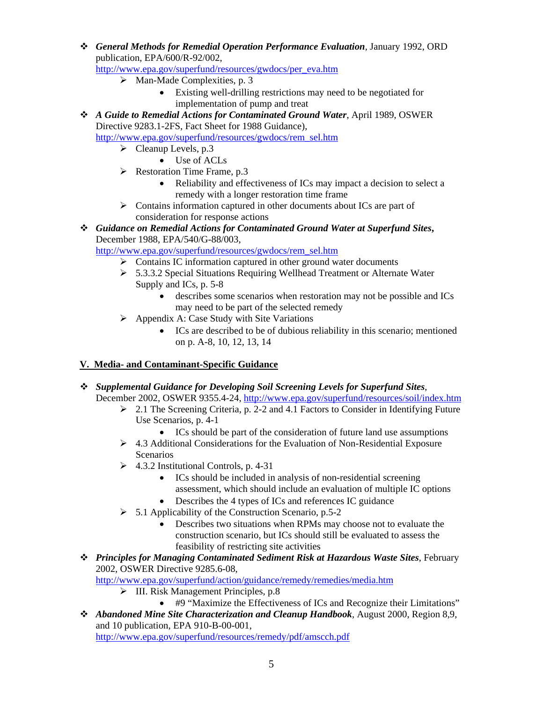*General Methods for Remedial Operation Performance Evaluation,* January 1992, ORD publication, EPA/600/R-92/002,

[http://www.epa.gov/superfund/resources/gwdocs/per\\_eva.htm](http://www.epa.gov/superfund/resources/gwdocs/per_eva.htm)

- $\triangleright$  Man-Made Complexities, p. 3
	- Existing well-drilling restrictions may need to be negotiated for implementation of pump and treat
- *A Guide to Remedial Actions for Contaminated Ground Water*, April 1989, OSWER Directive 9283.1-2FS, Fact Sheet for 1988 Guidance),

[http://www.epa.gov/superfund/resources/gwdocs/rem\\_sel.htm](http://www.epa.gov/superfund/resources/gwdocs/rem_sel.htm)

- $\blacktriangleright$  Cleanup Levels, p.3
	- Use of ACLs
- $\triangleright$  Restoration Time Frame, p.3
	- Reliability and effectiveness of ICs may impact a decision to select a remedy with a longer restoration time frame
- $\triangleright$  Contains information captured in other documents about ICs are part of consideration for response actions
- *Guidance on Remedial Actions for Contaminated Ground Water at Superfund Sites***,** December 1988, EPA/540/G-88/003,

[http://www.epa.gov/superfund/resources/gwdocs/rem\\_sel.htm](http://www.epa.gov/superfund/resources/gwdocs/rem_sel.htm)

- $\triangleright$  Contains IC information captured in other ground water documents
- ¾ 5.3.3.2 Special Situations Requiring Wellhead Treatment or Alternate Water Supply and ICs, p. 5-8
	- describes some scenarios when restoration may not be possible and ICs may need to be part of the selected remedy
- $\triangleright$  Appendix A: Case Study with Site Variations
	- ICs are described to be of dubious reliability in this scenario; mentioned on p. A-8, 10, 12, 13, 14

#### **V. Media- and Contaminant-Specific Guidance**

- *Supplemental Guidance for Developing Soil Screening Levels for Superfund Sites*, December 2002, OSWER 9355.4-24,<http://www.epa.gov/superfund/resources/soil/index.htm>
	- $\geq 2.1$  The Screening Criteria, p. 2-2 and 4.1 Factors to Consider in Identifying Future Use Scenarios, p. 4-1
		- ICs should be part of the consideration of future land use assumptions
	- ¾ 4.3 Additional Considerations for the Evaluation of Non-Residential Exposure **Scenarios**
	- $\geq$  4.3.2 Institutional Controls, p. 4-31
		- ICs should be included in analysis of non-residential screening assessment, which should include an evaluation of multiple IC options
		- Describes the 4 types of ICs and references IC guidance
	- $\triangleright$  5.1 Applicability of the Construction Scenario, p.5-2
		- Describes two situations when RPMs may choose not to evaluate the construction scenario, but ICs should still be evaluated to assess the feasibility of restricting site activities
- *Principles for Managing Contaminated Sediment Risk at Hazardous Waste Sites*, February 2002, OSWER Directive 9285.6-08,

<http://www.epa.gov/superfund/action/guidance/remedy/remedies/media.htm>

- $\triangleright$  III. Risk Management Principles, p.8
	- #9 "Maximize the Effectiveness of ICs and Recognize their Limitations"
- *Abandoned Mine Site Characterization and Cleanup Handbook*, August 2000, Region 8,9, and 10 publication, EPA 910-B-00-001,

<http://www.epa.gov/superfund/resources/remedy/pdf/amscch.pdf>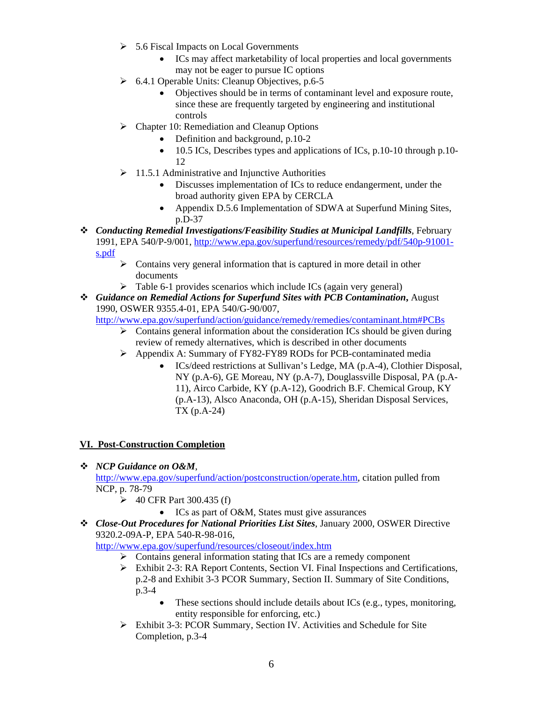- $\geq 5.6$  Fiscal Impacts on Local Governments
	- ICs may affect marketability of local properties and local governments may not be eager to pursue IC options
- $\triangleright$  6.4.1 Operable Units: Cleanup Objectives, p.6-5
	- Objectives should be in terms of contaminant level and exposure route, since these are frequently targeted by engineering and institutional controls
- $\triangleright$  Chapter 10: Remediation and Cleanup Options
	- Definition and background, p.10-2
		- 10.5 ICs, Describes types and applications of ICs, p.10-10 through p.10-12
- $\geq 11.5.1$  Administrative and Injunctive Authorities
	- Discusses implementation of ICs to reduce endangerment, under the broad authority given EPA by CERCLA
	- Appendix D.5.6 Implementation of SDWA at Superfund Mining Sites, p.D-37
- *Conducting Remedial Investigations/Feasibility Studies at Municipal Landfills*, February 1991, EPA 540/P-9/001, [http://www.epa.gov/superfund/resources/remedy/pdf/540p-91001](http://www.epa.gov/superfund/resources/remedy/pdf/540p-91001-s.pdf) [s.pdf](http://www.epa.gov/superfund/resources/remedy/pdf/540p-91001-s.pdf)
	- $\triangleright$  Contains very general information that is captured in more detail in other documents
	- $\triangleright$  Table 6-1 provides scenarios which include ICs (again very general)
- *Guidance on Remedial Actions for Superfund Sites with PCB Contamination***,** August 1990, OSWER 9355.4-01, EPA 540/G-90/007,

<http://www.epa.gov/superfund/action/guidance/remedy/remedies/contaminant.htm#PCBs>

- $\triangleright$  Contains general information about the consideration ICs should be given during review of remedy alternatives, which is described in other documents
- ¾ Appendix A: Summary of FY82-FY89 RODs for PCB-contaminated media
	- ICs/deed restrictions at Sullivan's Ledge, MA (p.A-4), Clothier Disposal, NY (p.A-6), GE Moreau, NY (p.A-7), Douglassville Disposal, PA (p.A-11), Airco Carbide, KY (p.A-12), Goodrich B.F. Chemical Group, KY (p.A-13), Alsco Anaconda, OH (p.A-15), Sheridan Disposal Services, TX (p.A-24)

#### **VI. Post-Construction Completion**

*NCP Guidance on O&M*,

<http://www.epa.gov/superfund/action/postconstruction/operate.htm>, citation pulled from NCP, p. 78-79

- $\geq 40$  CFR Part 300.435 (f)
	- ICs as part of O&M, States must give assurances
- *Close-Out Procedures for National Priorities List Sites*, January 2000, OSWER Directive 9320.2-09A-P, EPA 540-R-98-016,

<http://www.epa.gov/superfund/resources/closeout/index.htm>

- $\triangleright$  Contains general information stating that ICs are a remedy component
- $\triangleright$  Exhibit 2-3: RA Report Contents, Section VI. Final Inspections and Certifications, p.2-8 and Exhibit 3-3 PCOR Summary, Section II. Summary of Site Conditions, p.3-4
	- These sections should include details about ICs (e.g., types, monitoring, entity responsible for enforcing, etc.)
- ¾ Exhibit 3-3: PCOR Summary, Section IV. Activities and Schedule for Site Completion, p.3-4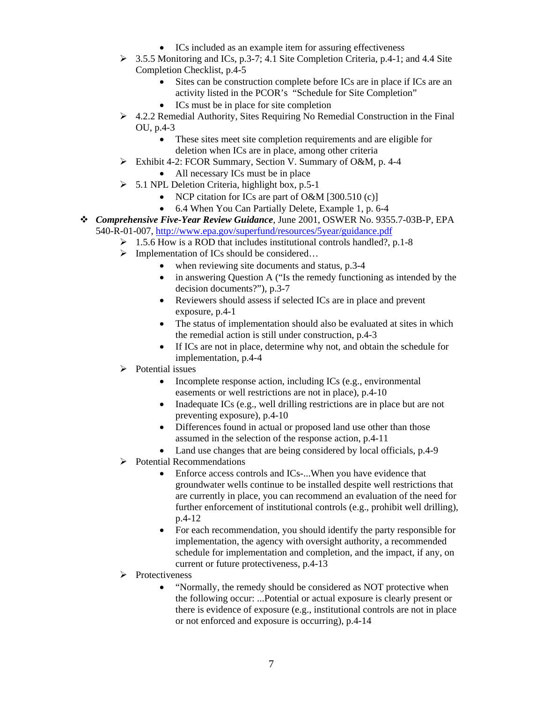- ICs included as an example item for assuring effectiveness
- ¾ 3.5.5 Monitoring and ICs, p.3-7; 4.1 Site Completion Criteria, p.4-1; and 4.4 Site Completion Checklist, p.4-5
	- Sites can be construction complete before ICs are in place if ICs are an activity listed in the PCOR's "Schedule for Site Completion"
	- ICs must be in place for site completion
- $\geq 4.2.2$  Remedial Authority, Sites Requiring No Remedial Construction in the Final OU, p.4-3
	- These sites meet site completion requirements and are eligible for deletion when ICs are in place, among other criteria
- ¾ Exhibit 4-2: FCOR Summary, Section V. Summary of O&M, p. 4-4
	- All necessary ICs must be in place
- $\geq$  5.1 NPL Deletion Criteria, highlight box, p.5-1
	- NCP citation for ICs are part of O&M [300.510 (c)]
	- 6.4 When You Can Partially Delete, Example 1, p. 6-4
- *Comprehensive Five-Year Review Guidance*, June 2001, OSWER No. 9355.7-03B-P, EPA 540-R-01-007, <http://www.epa.gov/superfund/resources/5year/guidance.pdf>
	- $\geq 1.5.6$  How is a ROD that includes institutional controls handled?, p.1-8
	- $\triangleright$  Implementation of ICs should be considered...
		- when reviewing site documents and status, p.3-4
		- in answering Question A ("Is the remedy functioning as intended by the decision documents?"), p.3-7
		- Reviewers should assess if selected ICs are in place and prevent exposure, p.4-1
		- The status of implementation should also be evaluated at sites in which the remedial action is still under construction, p.4-3
		- If ICs are not in place, determine why not, and obtain the schedule for implementation, p.4-4
	- $\triangleright$  Potential issues
		- Incomplete response action, including ICs (e.g., environmental easements or well restrictions are not in place), p.4-10
		- Inadequate ICs (e.g., well drilling restrictions are in place but are not preventing exposure), p.4-10
		- Differences found in actual or proposed land use other than those assumed in the selection of the response action, p.4-11
		- Land use changes that are being considered by local officials, p.4-9
	- $\triangleright$  Potential Recommendations
		- Enforce access controls and ICs-...When you have evidence that groundwater wells continue to be installed despite well restrictions that are currently in place, you can recommend an evaluation of the need for further enforcement of institutional controls (e.g., prohibit well drilling), p.4-12
		- For each recommendation, you should identify the party responsible for implementation, the agency with oversight authority, a recommended schedule for implementation and completion, and the impact, if any, on current or future protectiveness, p.4-13
	- **►** Protectiveness
		- "Normally, the remedy should be considered as NOT protective when the following occur: ...Potential or actual exposure is clearly present or there is evidence of exposure (e.g., institutional controls are not in place or not enforced and exposure is occurring), p.4-14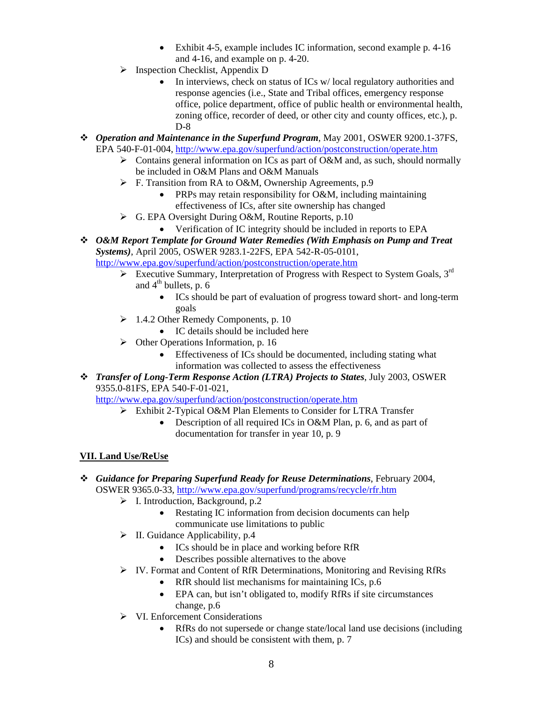- Exhibit 4-5, example includes IC information, second example p. 4-16 and 4-16, and example on p. 4-20.
- $\triangleright$  Inspection Checklist, Appendix D
	- In interviews, check on status of ICs w/local regulatory authorities and response agencies (i.e., State and Tribal offices, emergency response office, police department, office of public health or environmental health, zoning office, recorder of deed, or other city and county offices, etc.), p. D-8
- *Operation and Maintenance in the Superfund Program*, May 2001, OSWER 9200.1-37FS, EPA 540-F-01-004,<http://www.epa.gov/superfund/action/postconstruction/operate.htm>
	- $\triangleright$  Contains general information on ICs as part of O&M and, as such, should normally be included in O&M Plans and O&M Manuals
	- $\triangleright$  F. Transition from RA to O&M, Ownership Agreements, p.9
		- PRPs may retain responsibility for O&M, including maintaining effectiveness of ICs, after site ownership has changed
	- $\triangleright$  G. EPA Oversight During O&M, Routine Reports, p.10
		- Verification of IC integrity should be included in reports to EPA
- *O&M Report Template for Ground Water Remedies (With Emphasis on Pump and Treat Systems)*, April 2005, OSWER 9283.1-22FS, EPA 542-R-05-0101,

<http://www.epa.gov/superfund/action/postconstruction/operate.htm>

- Executive Summary, Interpretation of Progress with Respect to System Goals,  $3<sup>rd</sup>$ and  $4<sup>th</sup>$  bullets, p. 6
	- ICs should be part of evaluation of progress toward short- and long-term goals
- $\geq 1.4.2$  Other Remedy Components, p. 10
	- IC details should be included here
- $\triangleright$  Other Operations Information, p. 16
	- Effectiveness of ICs should be documented, including stating what information was collected to assess the effectiveness
- *Transfer of Long-Term Response Action (LTRA) Projects to States*, July 2003, OSWER 9355.0-81FS, EPA 540-F-01-021,

<http://www.epa.gov/superfund/action/postconstruction/operate.htm>

- ¾ Exhibit 2-Typical O&M Plan Elements to Consider for LTRA Transfer
	- Description of all required ICs in O&M Plan, p. 6, and as part of documentation for transfer in year 10, p. 9

# **VII. Land Use/ReUse**

- *Guidance for Preparing Superfund Ready for Reuse Determinations*, February 2004, OSWER 9365.0-33, <http://www.epa.gov/superfund/programs/recycle/rfr.htm>
	- $\triangleright$  I. Introduction, Background, p.2
		- Restating IC information from decision documents can help communicate use limitations to public
	- $\triangleright$  II. Guidance Applicability, p.4
		- ICs should be in place and working before RfR
		- Describes possible alternatives to the above
	- ¾ IV. Format and Content of RfR Determinations, Monitoring and Revising RfRs
		- RfR should list mechanisms for maintaining ICs, p.6
		- EPA can, but isn't obligated to, modify RfRs if site circumstances change, p.6
	- $\triangleright$  VI. Enforcement Considerations
		- RfRs do not supersede or change state/local land use decisions (including ICs) and should be consistent with them, p. 7